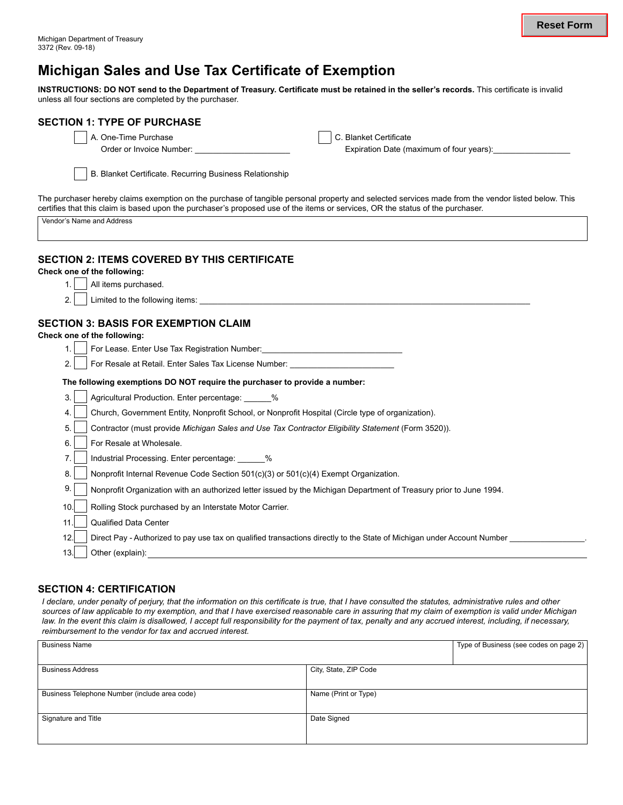# **Michigan Sales and Use Tax Certificate of Exemption**

**INSTRUCTIONS: DO NOT send to the Department of Treasury. Certificate must be retained in the seller's records.** This certificate is invalid unless all four sections are completed by the purchaser.

| <b>SECTION 1: TYPE OF PURCHASE</b>                                                                                                                                                                                                                                                  |                                               |  |  |  |
|-------------------------------------------------------------------------------------------------------------------------------------------------------------------------------------------------------------------------------------------------------------------------------------|-----------------------------------------------|--|--|--|
| A. One-Time Purchase                                                                                                                                                                                                                                                                | C. Blanket Certificate                        |  |  |  |
| Order or Invoice Number:                                                                                                                                                                                                                                                            | Expiration Date (maximum of four years): [11] |  |  |  |
| B. Blanket Certificate. Recurring Business Relationship                                                                                                                                                                                                                             |                                               |  |  |  |
|                                                                                                                                                                                                                                                                                     |                                               |  |  |  |
| The purchaser hereby claims exemption on the purchase of tangible personal property and selected services made from the vendor listed below. This<br>certifies that this claim is based upon the purchaser's proposed use of the items or services, OR the status of the purchaser. |                                               |  |  |  |
| Vendor's Name and Address                                                                                                                                                                                                                                                           |                                               |  |  |  |
| <b>SECTION 2: ITEMS COVERED BY THIS CERTIFICATE</b>                                                                                                                                                                                                                                 |                                               |  |  |  |
| Check one of the following:                                                                                                                                                                                                                                                         |                                               |  |  |  |
| All items purchased.<br>1.                                                                                                                                                                                                                                                          |                                               |  |  |  |
| 2.<br>Limited to the following items: the state of the state of the state of the state of the state of the state of the state of the state of the state of the state of the state of the state of the state of the state of the stat                                                |                                               |  |  |  |
|                                                                                                                                                                                                                                                                                     |                                               |  |  |  |
| <b>SECTION 3: BASIS FOR EXEMPTION CLAIM</b><br>Check one of the following:                                                                                                                                                                                                          |                                               |  |  |  |
| For Lease. Enter Use Tax Registration Number: Manuscription Account of the Use of Account of the Use of Accoun<br>1.                                                                                                                                                                |                                               |  |  |  |
| For Resale at Retail. Enter Sales Tax License Number:<br>2.                                                                                                                                                                                                                         |                                               |  |  |  |
| The following exemptions DO NOT require the purchaser to provide a number:                                                                                                                                                                                                          |                                               |  |  |  |
| 3.<br>Agricultural Production. Enter percentage: ______%                                                                                                                                                                                                                            |                                               |  |  |  |
| 4.<br>Church, Government Entity, Nonprofit School, or Nonprofit Hospital (Circle type of organization).                                                                                                                                                                             |                                               |  |  |  |
| 5.<br>Contractor (must provide Michigan Sales and Use Tax Contractor Eligibility Statement (Form 3520)).                                                                                                                                                                            |                                               |  |  |  |
| 6.<br>For Resale at Wholesale.                                                                                                                                                                                                                                                      |                                               |  |  |  |
| 7.<br>Industrial Processing. Enter percentage: ______%                                                                                                                                                                                                                              |                                               |  |  |  |
| 8.<br>Nonprofit Internal Revenue Code Section 501(c)(3) or 501(c)(4) Exempt Organization.                                                                                                                                                                                           |                                               |  |  |  |
| 9.                                                                                                                                                                                                                                                                                  |                                               |  |  |  |
| Nonprofit Organization with an authorized letter issued by the Michigan Department of Treasury prior to June 1994.                                                                                                                                                                  |                                               |  |  |  |
| 10.<br>Rolling Stock purchased by an Interstate Motor Carrier.                                                                                                                                                                                                                      |                                               |  |  |  |
| 11.<br><b>Qualified Data Center</b>                                                                                                                                                                                                                                                 |                                               |  |  |  |
| 12.<br>Direct Pay - Authorized to pay use tax on qualified transactions directly to the State of Michigan under Account Number                                                                                                                                                      |                                               |  |  |  |
| 13.<br>Other (explain):                                                                                                                                                                                                                                                             |                                               |  |  |  |

#### **SECTION 4: CERTIFICATION**

I declare, under penalty of perjury, that the information on this certificate is true, that I have consulted the statutes, administrative rules and other sources of law applicable to my exemption, and that I have exercised reasonable care in assuring that my claim of exemption is valid under Michigan law. In the event this claim is disallowed, I accept full responsibility for the payment of tax, penalty and any accrued interest, including, if necessary, *reimbursement to the vendor for tax and accrued interest.*

| <b>Business Name</b>                          |                       | Type of Business (see codes on page 2) |
|-----------------------------------------------|-----------------------|----------------------------------------|
|                                               |                       |                                        |
| <b>Business Address</b>                       | City, State, ZIP Code |                                        |
|                                               |                       |                                        |
| Business Telephone Number (include area code) | Name (Print or Type)  |                                        |
|                                               |                       |                                        |
| Signature and Title                           | Date Signed           |                                        |
|                                               |                       |                                        |
|                                               |                       |                                        |